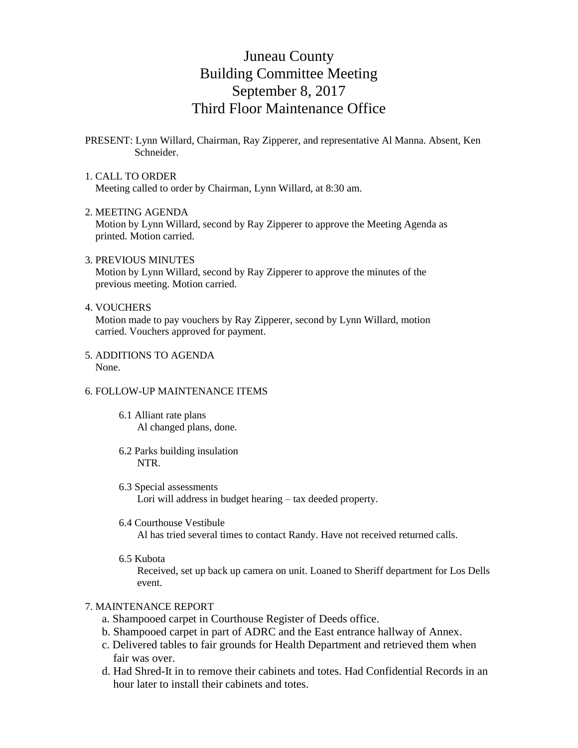# Juneau County Building Committee Meeting September 8, 2017 Third Floor Maintenance Office

PRESENT: Lynn Willard, Chairman, Ray Zipperer, and representative Al Manna. Absent, Ken Schneider.

# 1. CALL TO ORDER

Meeting called to order by Chairman, Lynn Willard, at 8:30 am.

#### 2. MEETING AGENDA

 Motion by Lynn Willard, second by Ray Zipperer to approve the Meeting Agenda as printed. Motion carried.

### 3. PREVIOUS MINUTES

 Motion by Lynn Willard, second by Ray Zipperer to approve the minutes of the previous meeting. Motion carried.

### 4. VOUCHERS

 Motion made to pay vouchers by Ray Zipperer, second by Lynn Willard, motion carried. Vouchers approved for payment.

5. ADDITIONS TO AGENDA None.

## 6. FOLLOW-UP MAINTENANCE ITEMS

- 6.1 Alliant rate plans Al changed plans, done.
- 6.2 Parks building insulation NTR.
- 6.3 Special assessments Lori will address in budget hearing – tax deeded property.

#### 6.4 Courthouse Vestibule

Al has tried several times to contact Randy. Have not received returned calls.

6.5 Kubota

 Received, set up back up camera on unit. Loaned to Sheriff department for Los Dells event.

# 7. MAINTENANCE REPORT

- a. Shampooed carpet in Courthouse Register of Deeds office.
- b. Shampooed carpet in part of ADRC and the East entrance hallway of Annex.
- c. Delivered tables to fair grounds for Health Department and retrieved them when fair was over.
- d. Had Shred-It in to remove their cabinets and totes. Had Confidential Records in an hour later to install their cabinets and totes.